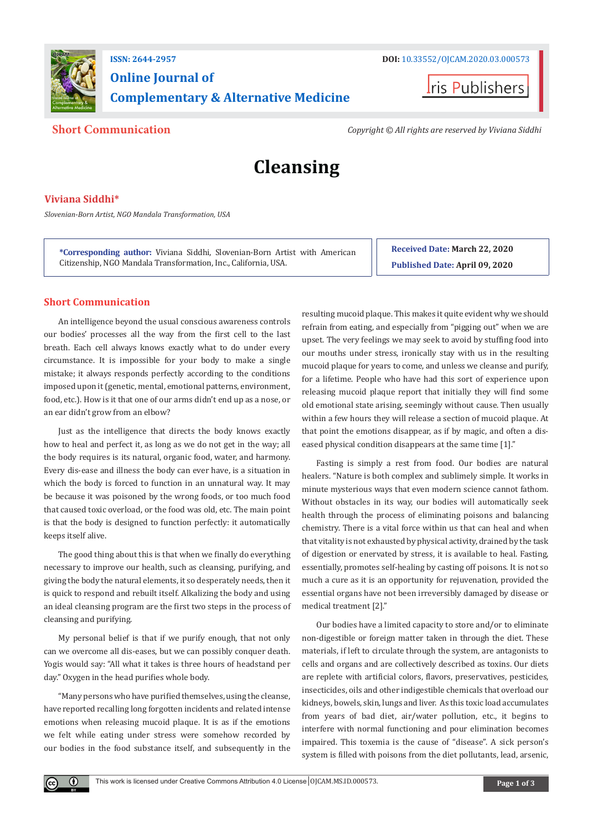

# **Online Journal of Complementary & Alternative Medicine**



**Short Communication** *Copyright © All rights are reserved by Viviana Siddhi*

# **Cleansing**

# **Viviana Siddhi\***

*Slovenian-Born Artist, NGO Mandala Transformation, USA*

**\*Corresponding author:** Viviana Siddhi, Slovenian-Born Artist with American Citizenship, NGO Mandala Transformation, Inc., California, USA.

**Received Date: March 22, 2020 Published Date: April 09, 2020**

## **Short Communication**

An intelligence beyond the usual conscious awareness controls our bodies' processes all the way from the first cell to the last breath. Each cell always knows exactly what to do under every circumstance. It is impossible for your body to make a single mistake; it always responds perfectly according to the conditions imposed upon it (genetic, mental, emotional patterns, environment, food, etc.). How is it that one of our arms didn't end up as a nose, or an ear didn't grow from an elbow?

Just as the intelligence that directs the body knows exactly how to heal and perfect it, as long as we do not get in the way; all the body requires is its natural, organic food, water, and harmony. Every dis-ease and illness the body can ever have, is a situation in which the body is forced to function in an unnatural way. It may be because it was poisoned by the wrong foods, or too much food that caused toxic overload, or the food was old, etc. The main point is that the body is designed to function perfectly: it automatically keeps itself alive.

The good thing about this is that when we finally do everything necessary to improve our health, such as cleansing, purifying, and giving the body the natural elements, it so desperately needs, then it is quick to respond and rebuilt itself. Alkalizing the body and using an ideal cleansing program are the first two steps in the process of cleansing and purifying.

My personal belief is that if we purify enough, that not only can we overcome all dis-eases, but we can possibly conquer death. Yogis would say: "All what it takes is three hours of headstand per day." Oxygen in the head purifies whole body.

"Many persons who have purified themselves, using the cleanse, have reported recalling long forgotten incidents and related intense emotions when releasing mucoid plaque. It is as if the emotions we felt while eating under stress were somehow recorded by our bodies in the food substance itself, and subsequently in the

 $\left( \mathbf{r} \right)$ 

resulting mucoid plaque. This makes it quite evident why we should refrain from eating, and especially from "pigging out" when we are upset. The very feelings we may seek to avoid by stuffing food into our mouths under stress, ironically stay with us in the resulting mucoid plaque for years to come, and unless we cleanse and purify, for a lifetime. People who have had this sort of experience upon releasing mucoid plaque report that initially they will find some old emotional state arising, seemingly without cause. Then usually within a few hours they will release a section of mucoid plaque. At that point the emotions disappear, as if by magic, and often a diseased physical condition disappears at the same time [1]."

Fasting is simply a rest from food. Our bodies are natural healers. "Nature is both complex and sublimely simple. It works in minute mysterious ways that even modern science cannot fathom. Without obstacles in its way, our bodies will automatically seek health through the process of eliminating poisons and balancing chemistry. There is a vital force within us that can heal and when that vitality is not exhausted by physical activity, drained by the task of digestion or enervated by stress, it is available to heal. Fasting, essentially, promotes self-healing by casting off poisons. It is not so much a cure as it is an opportunity for rejuvenation, provided the essential organs have not been irreversibly damaged by disease or medical treatment [2]."

Our bodies have a limited capacity to store and/or to eliminate non-digestible or foreign matter taken in through the diet. These materials, if left to circulate through the system, are antagonists to cells and organs and are collectively described as toxins. Our diets are replete with artificial colors, flavors, preservatives, pesticides, insecticides, oils and other indigestible chemicals that overload our kidneys, bowels, skin, lungs and liver. As this toxic load accumulates from years of bad diet, air/water pollution, etc., it begins to interfere with normal functioning and pour elimination becomes impaired. This toxemia is the cause of "disease". A sick person's system is filled with poisons from the diet pollutants, lead, arsenic,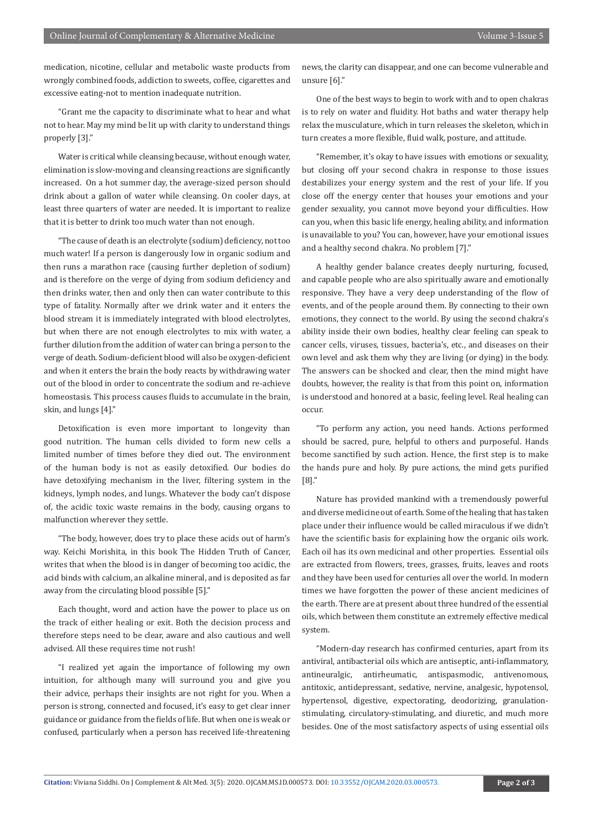medication, nicotine, cellular and metabolic waste products from wrongly combined foods, addiction to sweets, coffee, cigarettes and excessive eating-not to mention inadequate nutrition.

"Grant me the capacity to discriminate what to hear and what not to hear. May my mind be lit up with clarity to understand things properly [3]."

Water is critical while cleansing because, without enough water, elimination is slow-moving and cleansing reactions are significantly increased. On a hot summer day, the average-sized person should drink about a gallon of water while cleansing. On cooler days, at least three quarters of water are needed. It is important to realize that it is better to drink too much water than not enough.

"The cause of death is an electrolyte (sodium) deficiency, not too much water! If a person is dangerously low in organic sodium and then runs a marathon race (causing further depletion of sodium) and is therefore on the verge of dying from sodium deficiency and then drinks water, then and only then can water contribute to this type of fatality. Normally after we drink water and it enters the blood stream it is immediately integrated with blood electrolytes, but when there are not enough electrolytes to mix with water, a further dilution from the addition of water can bring a person to the verge of death. Sodium-deficient blood will also be oxygen-deficient and when it enters the brain the body reacts by withdrawing water out of the blood in order to concentrate the sodium and re-achieve homeostasis. This process causes fluids to accumulate in the brain, skin, and lungs [4]."

Detoxification is even more important to longevity than good nutrition. The human cells divided to form new cells a limited number of times before they died out. The environment of the human body is not as easily detoxified. Our bodies do have detoxifying mechanism in the liver, filtering system in the kidneys, lymph nodes, and lungs. Whatever the body can't dispose of, the acidic toxic waste remains in the body, causing organs to malfunction wherever they settle.

"The body, however, does try to place these acids out of harm's way. Keichi Morishita, in this book The Hidden Truth of Cancer, writes that when the blood is in danger of becoming too acidic, the acid binds with calcium, an alkaline mineral, and is deposited as far away from the circulating blood possible [5]."

Each thought, word and action have the power to place us on the track of either healing or exit. Both the decision process and therefore steps need to be clear, aware and also cautious and well advised. All these requires time not rush!

"I realized yet again the importance of following my own intuition, for although many will surround you and give you their advice, perhaps their insights are not right for you. When a person is strong, connected and focused, it's easy to get clear inner guidance or guidance from the fields of life. But when one is weak or confused, particularly when a person has received life-threatening news, the clarity can disappear, and one can become vulnerable and unsure [6]."

One of the best ways to begin to work with and to open chakras is to rely on water and fluidity. Hot baths and water therapy help relax the musculature, which in turn releases the skeleton, which in turn creates a more flexible, fluid walk, posture, and attitude.

"Remember, it's okay to have issues with emotions or sexuality, but closing off your second chakra in response to those issues destabilizes your energy system and the rest of your life. If you close off the energy center that houses your emotions and your gender sexuality, you cannot move beyond your difficulties. How can you, when this basic life energy, healing ability, and information is unavailable to you? You can, however, have your emotional issues and a healthy second chakra. No problem [7]."

A healthy gender balance creates deeply nurturing, focused, and capable people who are also spiritually aware and emotionally responsive. They have a very deep understanding of the flow of events, and of the people around them. By connecting to their own emotions, they connect to the world. By using the second chakra's ability inside their own bodies, healthy clear feeling can speak to cancer cells, viruses, tissues, bacteria's, etc., and diseases on their own level and ask them why they are living (or dying) in the body. The answers can be shocked and clear, then the mind might have doubts, however, the reality is that from this point on, information is understood and honored at a basic, feeling level. Real healing can occur.

"To perform any action, you need hands. Actions performed should be sacred, pure, helpful to others and purposeful. Hands become sanctified by such action. Hence, the first step is to make the hands pure and holy. By pure actions, the mind gets purified [8]."

Nature has provided mankind with a tremendously powerful and diverse medicine out of earth. Some of the healing that has taken place under their influence would be called miraculous if we didn't have the scientific basis for explaining how the organic oils work. Each oil has its own medicinal and other properties. Essential oils are extracted from flowers, trees, grasses, fruits, leaves and roots and they have been used for centuries all over the world. In modern times we have forgotten the power of these ancient medicines of the earth. There are at present about three hundred of the essential oils, which between them constitute an extremely effective medical system.

"Modern-day research has confirmed centuries, apart from its antiviral, antibacterial oils which are antiseptic, anti-inflammatory, antineuralgic, antirheumatic, antispasmodic, antivenomous, antitoxic, antidepressant, sedative, nervine, analgesic, hypotensol, hypertensol, digestive, expectorating, deodorizing, granulationstimulating, circulatory-stimulating, and diuretic, and much more besides. One of the most satisfactory aspects of using essential oils